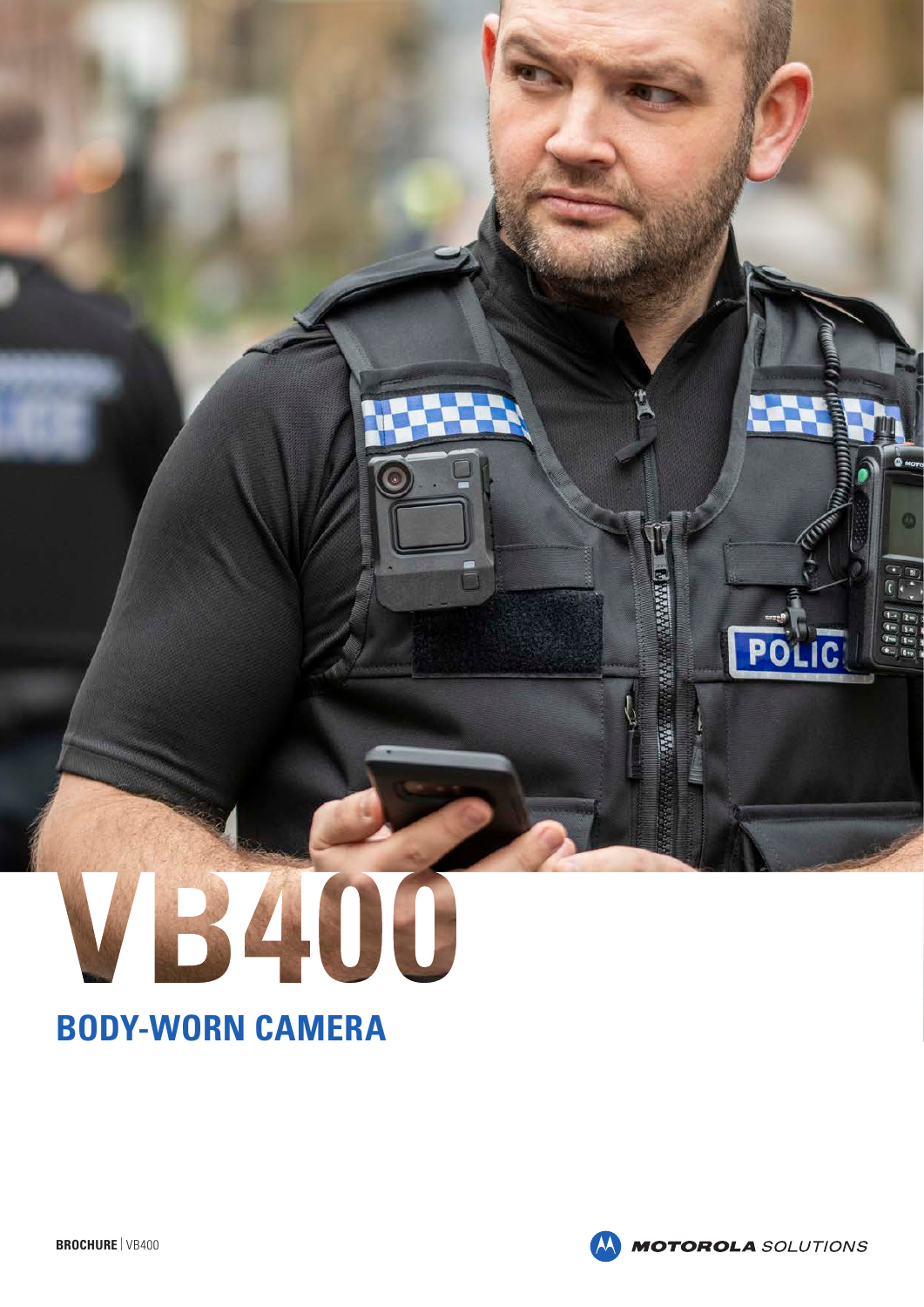# VB400

# **BODY-WORN CAMERA**



**Marian** 

**Action** 

**RANA** 

POLIC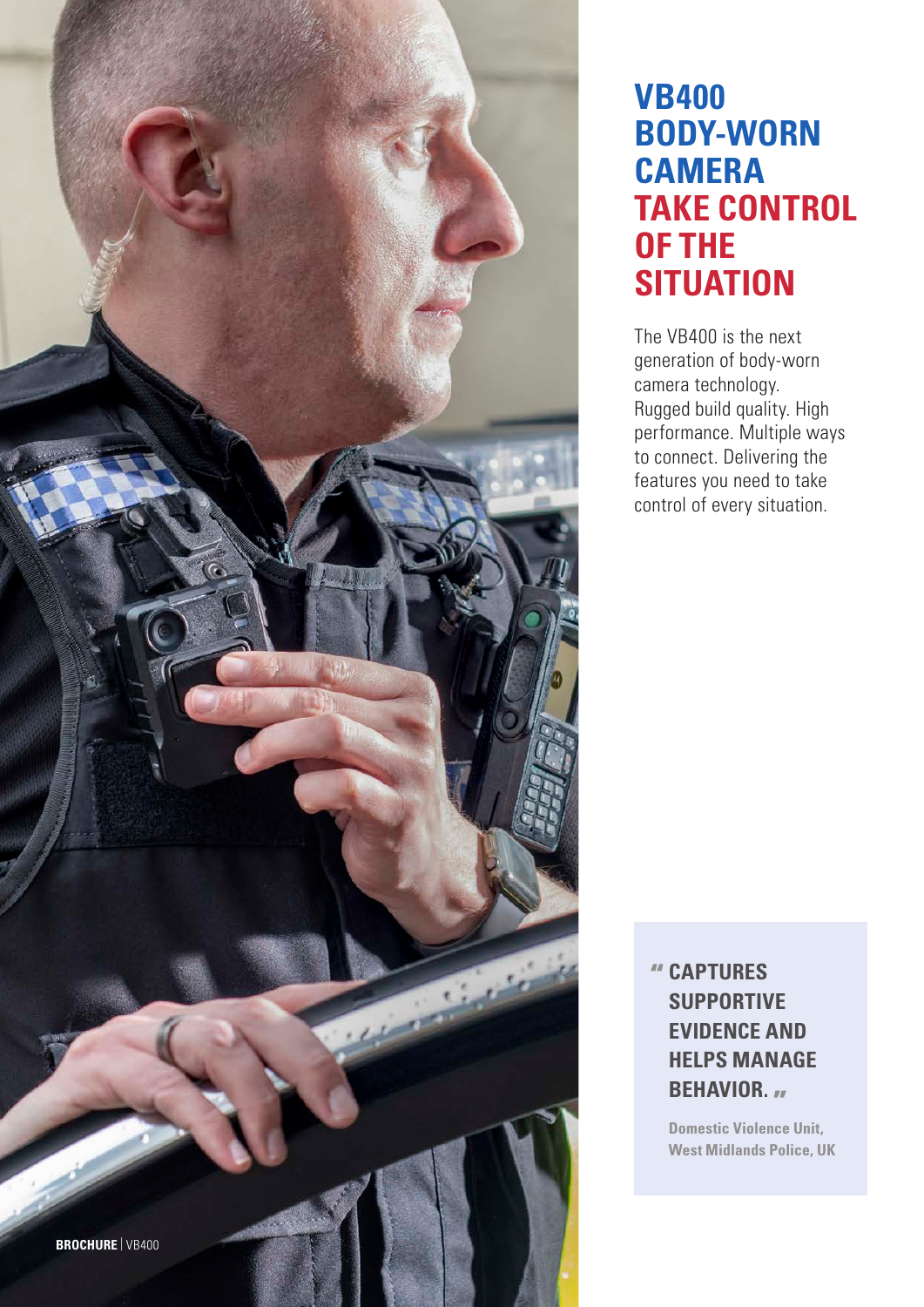

## **VB400 BODY-WORN CAMERA TAKE CONTROL OF THE SITUATION**

The VB400 is the next generation of body-worn camera technology. Rugged build quality. High performance. Multiple ways to connect. Delivering the features you need to take control of every situation.

## **CAPTURES SUPPORTIVE EVIDENCE AND HELPS MANAGE BEHAVIOR.**

**Domestic Violence Unit, West Midlands Police, UK**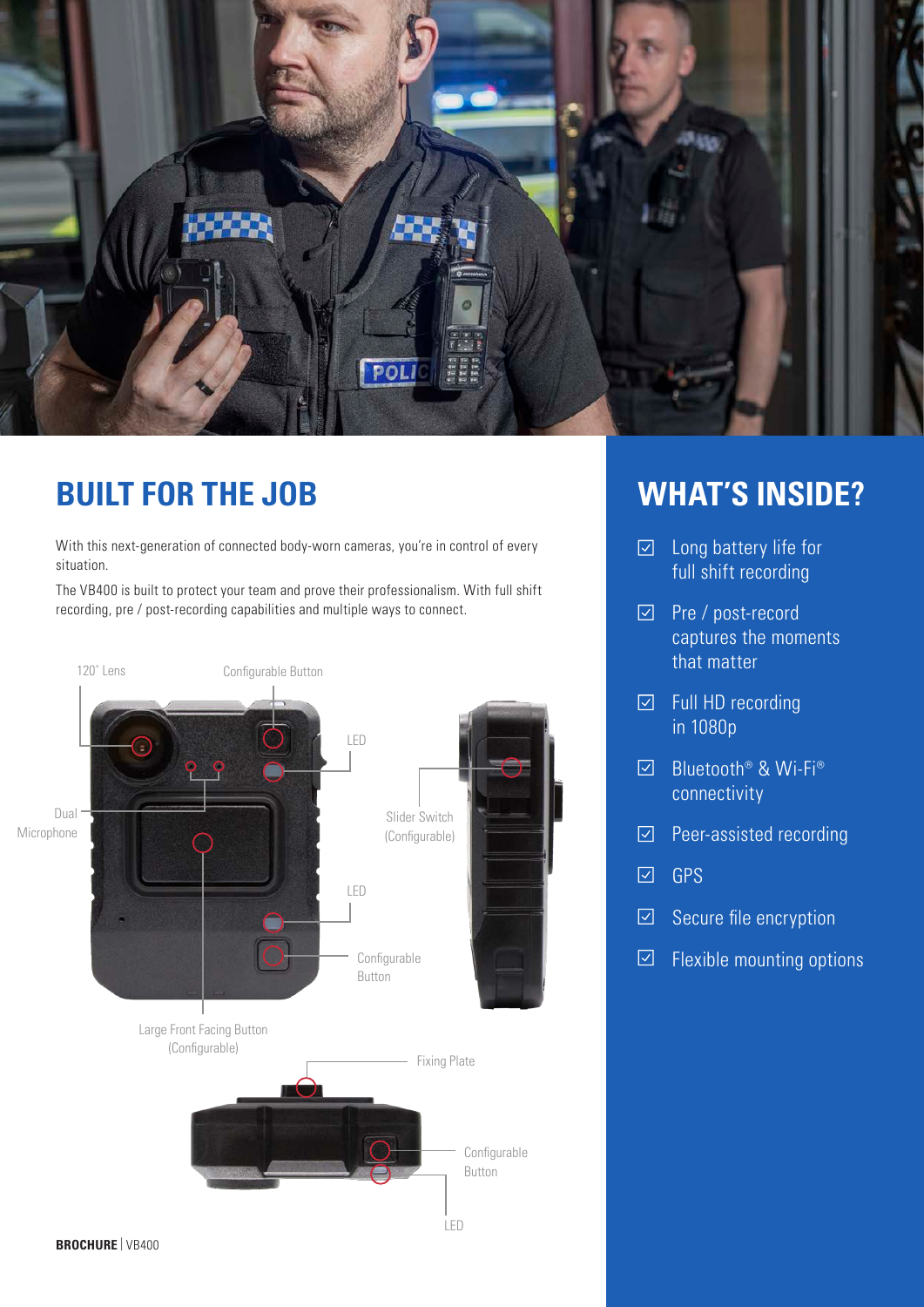

## **BUILT FOR THE JOB**

With this next-generation of connected body-worn cameras, you're in control of every situation.

The VB400 is built to protect your team and prove their professionalism. With full shift recording, pre / post-recording capabilities and multiple ways to connect.



## **WHAT'S INSIDE?**

- $\boxdot$  Long battery life for full shift recording
- Pre / post-record captures the moments that matter
- $\boxdot$  Full HD recording in 1080p
- $\boxed{\smile}$ Bluetooth® & Wi-Fi® connectivity
- Peer-assisted recording  $\boxed{\smash{\vee}}$
- $\boxed{\checkmark}$ GPS
- Secure file encryption  $\boxed{\checkmark}$
- Flexible mounting options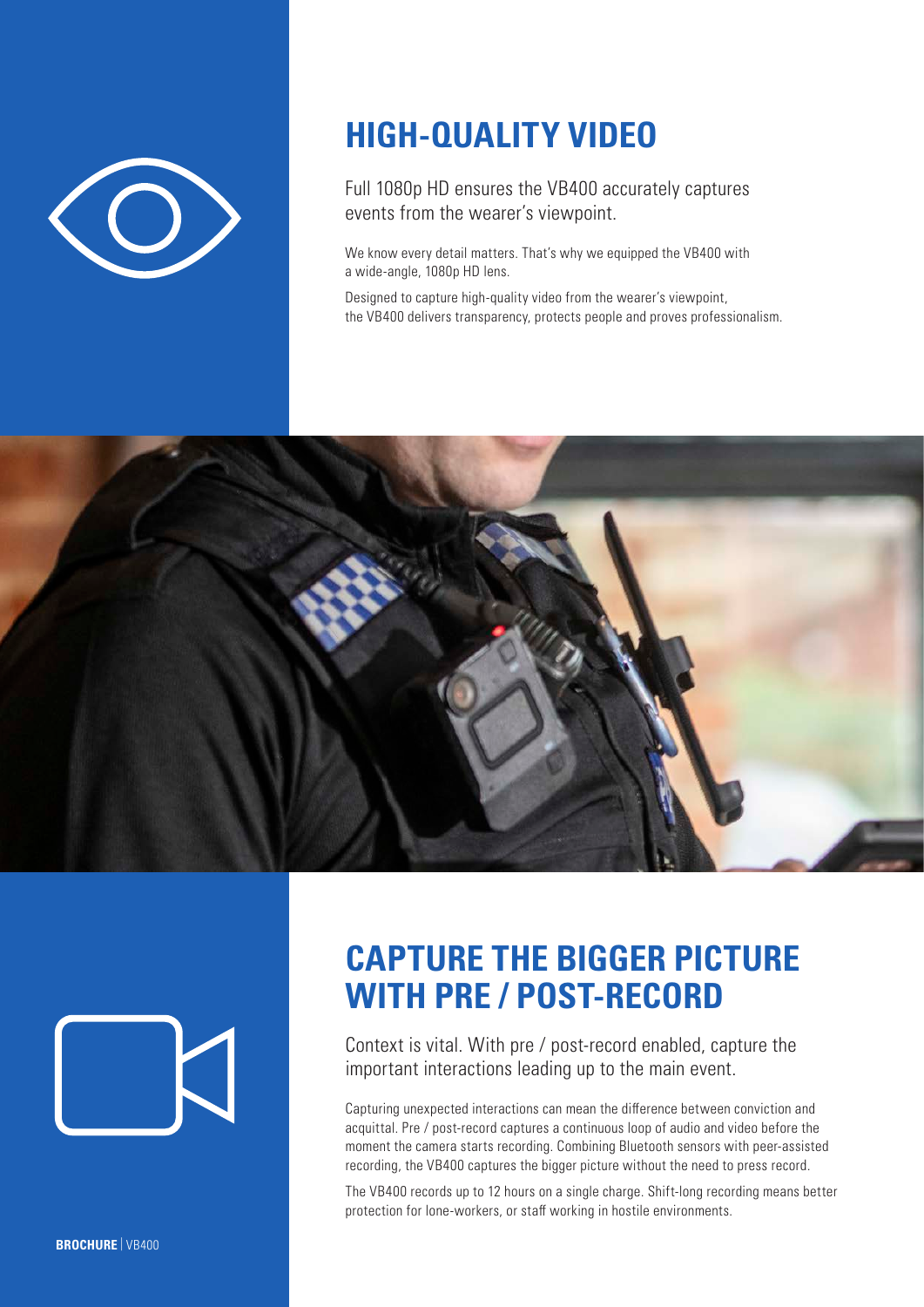

# **HIGH-QUALITY VIDEO**

Full 1080p HD ensures the VB400 accurately captures events from the wearer's viewpoint.

We know every detail matters. That's why we equipped the VB400 with a wide-angle, 1080p HD lens.

Designed to capture high-quality video from the wearer's viewpoint, the VB400 delivers transparency, protects people and proves professionalism.





## **CAPTURE THE BIGGER PICTURE WITH PRE / POST-RECORD**

Context is vital. With pre / post-record enabled, capture the important interactions leading up to the main event.

Capturing unexpected interactions can mean the difference between conviction and acquittal. Pre / post-record captures a continuous loop of audio and video before the moment the camera starts recording. Combining Bluetooth sensors with peer-assisted recording, the VB400 captures the bigger picture without the need to press record.

The VB400 records up to 12 hours on a single charge. Shift-long recording means better protection for lone-workers, or staff working in hostile environments.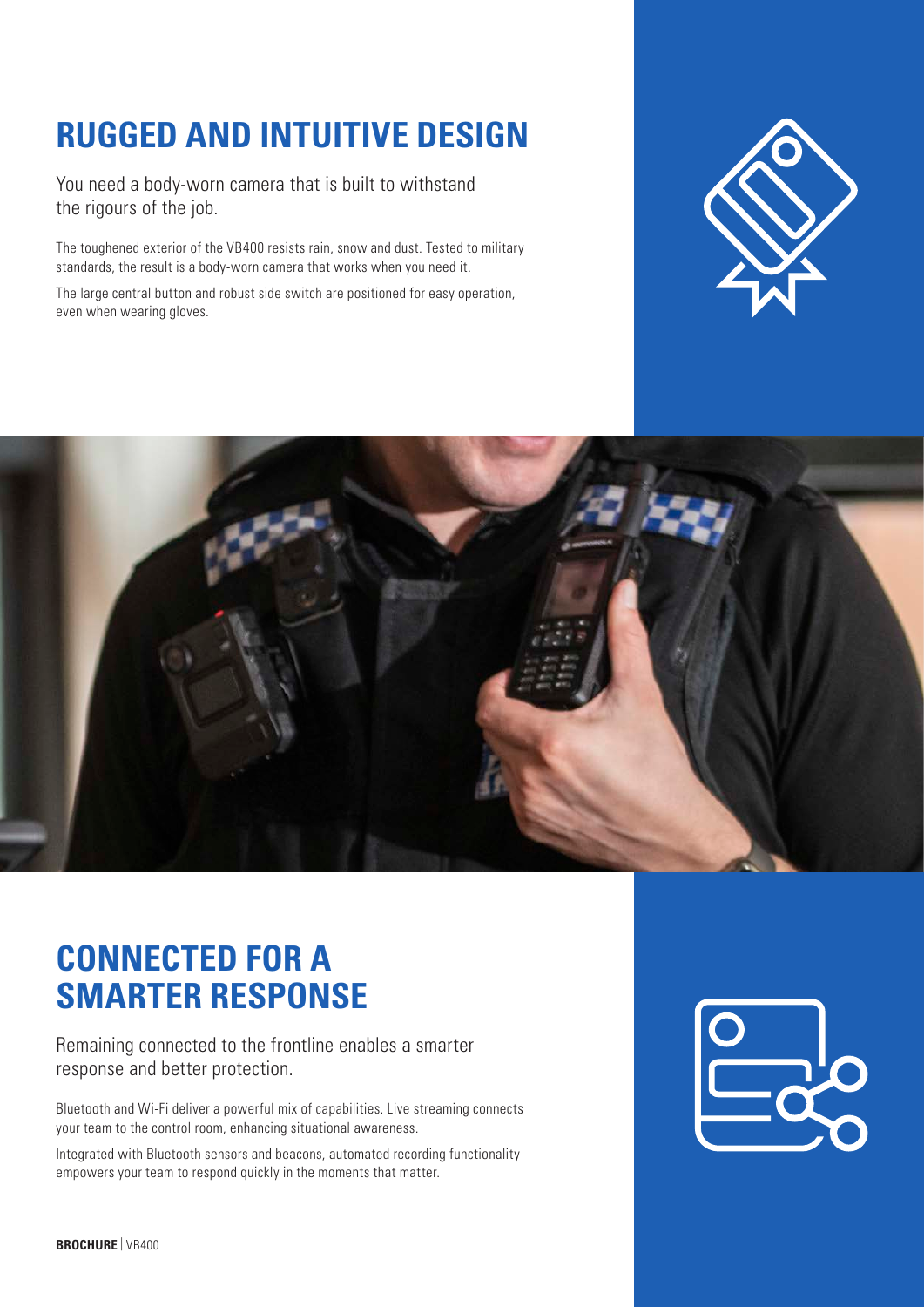# **RUGGED AND INTUITIVE DESIGN**

You need a body-worn camera that is built to withstand the rigours of the job.

The toughened exterior of the VB400 resists rain, snow and dust. Tested to military standards, the result is a body-worn camera that works when you need it.

The large central button and robust side switch are positioned for easy operation, even when wearing gloves.





# **CONNECTED FOR A SMARTER RESPONSE**

Remaining connected to the frontline enables a smarter response and better protection.

Bluetooth and Wi-Fi deliver a powerful mix of capabilities. Live streaming connects your team to the control room, enhancing situational awareness.

Integrated with Bluetooth sensors and beacons, automated recording functionality empowers your team to respond quickly in the moments that matter.

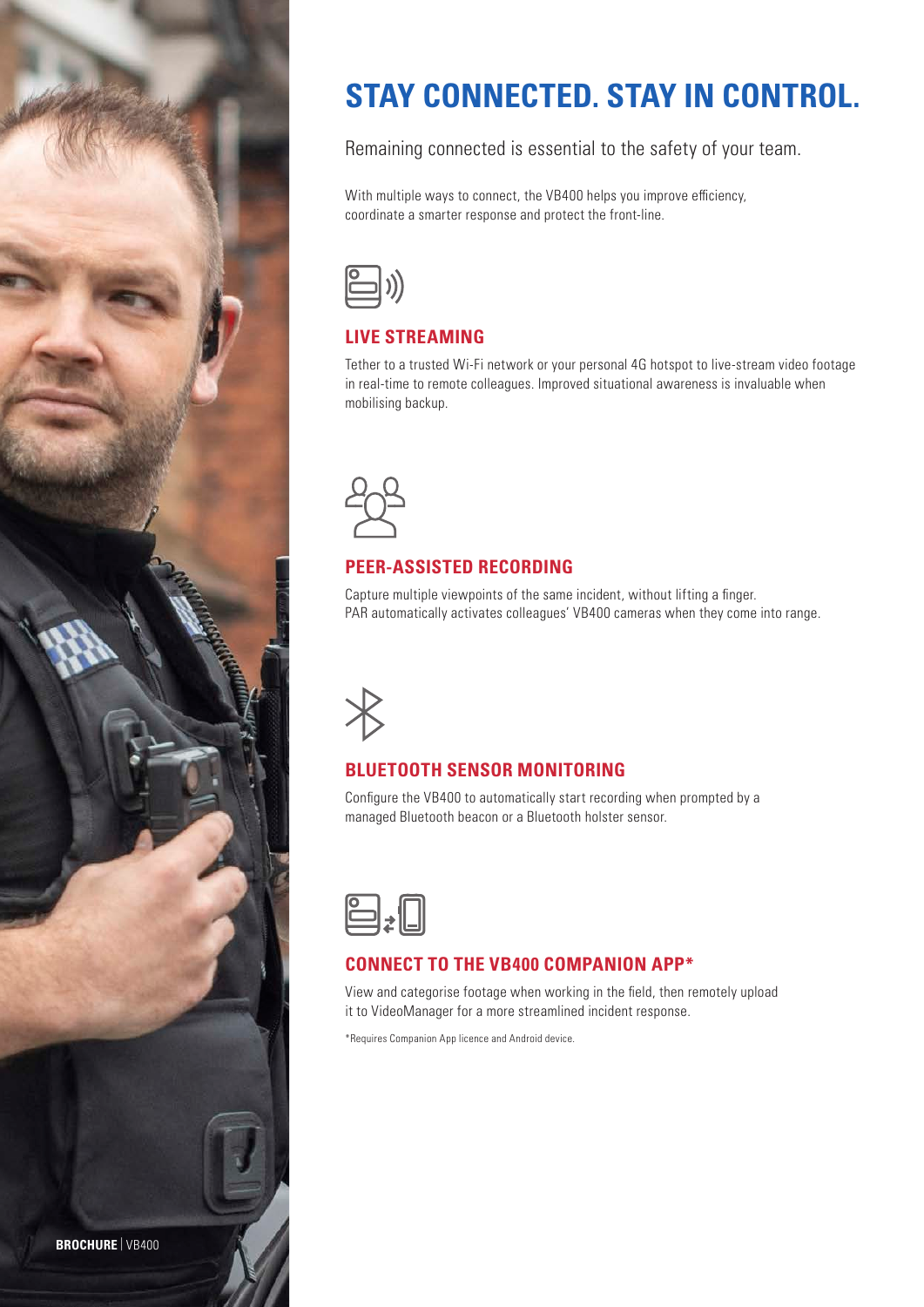

# **STAY CONNECTED. STAY IN CONTROL.**

Remaining connected is essential to the safety of your team.

With multiple ways to connect, the VB400 helps you improve efficiency, coordinate a smarter response and protect the front-line.



#### **LIVE STREAMING**

Tether to a trusted Wi-Fi network or your personal 4G hotspot to live-stream video footage in real-time to remote colleagues. Improved situational awareness is invaluable when mobilising backup.



### **PEER-ASSISTED RECORDING**

Capture multiple viewpoints of the same incident, without lifting a finger. PAR automatically activates colleagues' VB400 cameras when they come into range.



## **BLUETOOTH SENSOR MONITORING**

Configure the VB400 to automatically start recording when prompted by a managed Bluetooth beacon or a Bluetooth holster sensor.



#### **CONNECT TO THE VB400 COMPANION APP\***

View and categorise footage when working in the field, then remotely upload it to VideoManager for a more streamlined incident response.

\*Requires Companion App licence and Android device.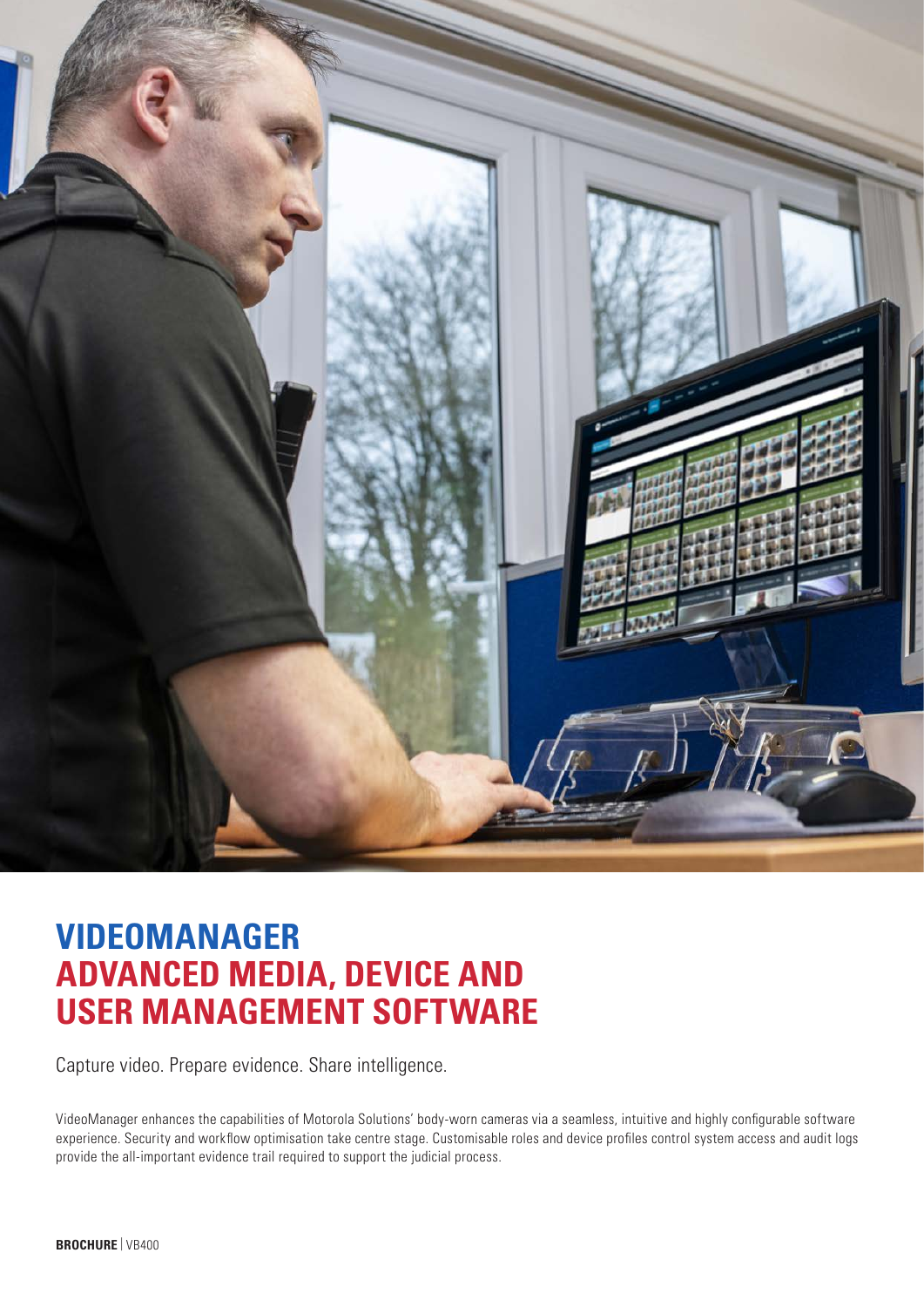

## **VIDEOMANAGER ADVANCED MEDIA, DEVICE AND USER MANAGEMENT SOFTWARE**

Capture video. Prepare evidence. Share intelligence.

VideoManager enhances the capabilities of Motorola Solutions' body-worn cameras via a seamless, intuitive and highly configurable software experience. Security and workflow optimisation take centre stage. Customisable roles and device profiles control system access and audit logs provide the all-important evidence trail required to support the judicial process.